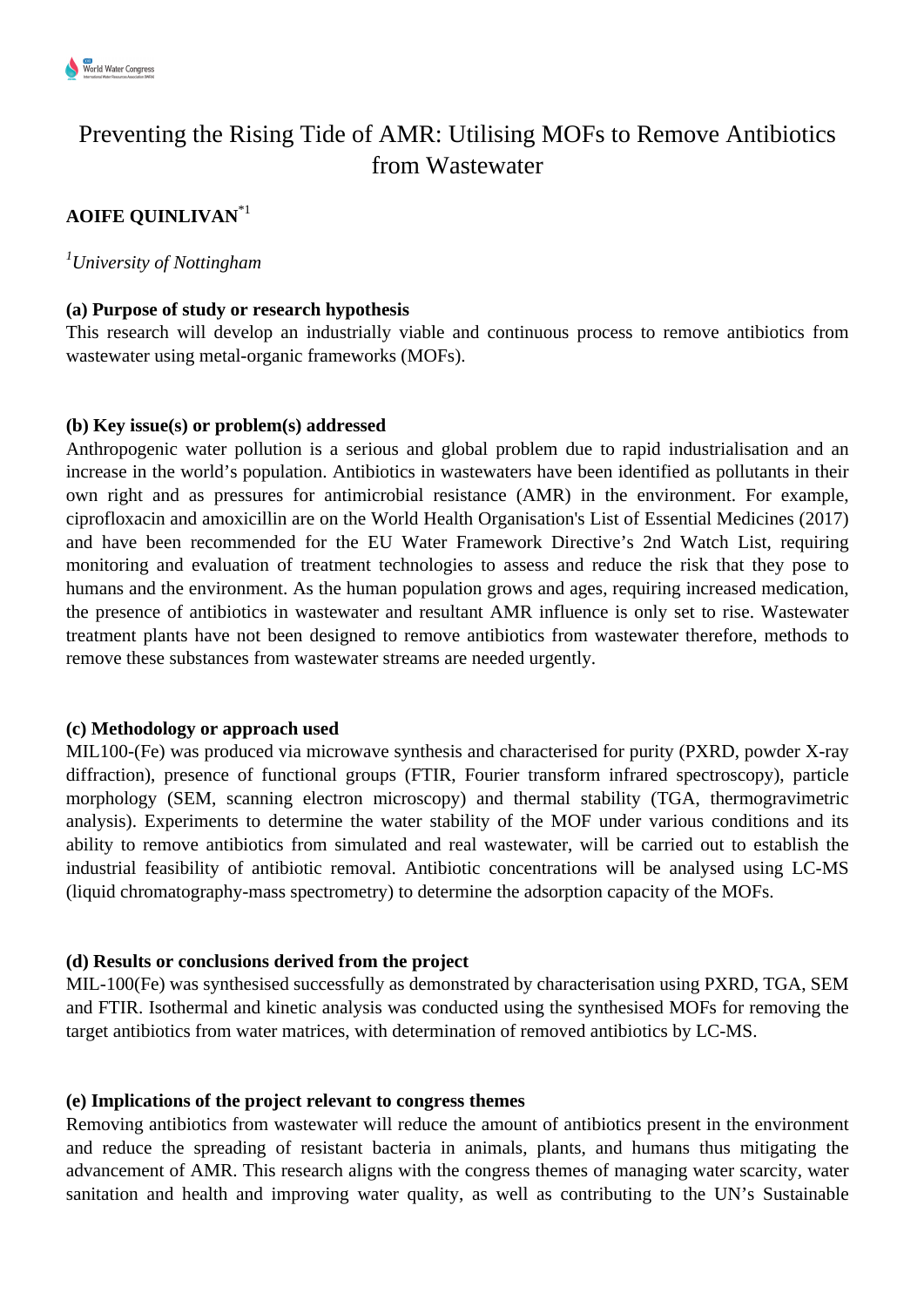

# Preventing the Rising Tide of AMR: Utilising MOFs to Remove Antibiotics from Wastewater

# **AOIFE QUINLIVAN**\*1

# *<sup>1</sup>University of Nottingham*

## **(a) Purpose of study or research hypothesis**

This research will develop an industrially viable and continuous process to remove antibiotics from wastewater using metal-organic frameworks (MOFs).

## **(b) Key issue(s) or problem(s) addressed**

Anthropogenic water pollution is a serious and global problem due to rapid industrialisation and an increase in the world's population. Antibiotics in wastewaters have been identified as pollutants in their own right and as pressures for antimicrobial resistance (AMR) in the environment. For example, ciprofloxacin and amoxicillin are on the World Health Organisation's List of Essential Medicines (2017) and have been recommended for the EU Water Framework Directive's 2nd Watch List, requiring monitoring and evaluation of treatment technologies to assess and reduce the risk that they pose to humans and the environment. As the human population grows and ages, requiring increased medication, the presence of antibiotics in wastewater and resultant AMR influence is only set to rise. Wastewater treatment plants have not been designed to remove antibiotics from wastewater therefore, methods to remove these substances from wastewater streams are needed urgently.

#### **(c) Methodology or approach used**

MIL100-(Fe) was produced via microwave synthesis and characterised for purity (PXRD, powder X-ray diffraction), presence of functional groups (FTIR, Fourier transform infrared spectroscopy), particle morphology (SEM, scanning electron microscopy) and thermal stability (TGA, thermogravimetric analysis). Experiments to determine the water stability of the MOF under various conditions and its ability to remove antibiotics from simulated and real wastewater, will be carried out to establish the industrial feasibility of antibiotic removal. Antibiotic concentrations will be analysed using LC-MS (liquid chromatography-mass spectrometry) to determine the adsorption capacity of the MOFs.

#### **(d) Results or conclusions derived from the project**

MIL-100(Fe) was synthesised successfully as demonstrated by characterisation using PXRD, TGA, SEM and FTIR. Isothermal and kinetic analysis was conducted using the synthesised MOFs for removing the target antibiotics from water matrices, with determination of removed antibiotics by LC-MS.

#### **(e) Implications of the project relevant to congress themes**

Removing antibiotics from wastewater will reduce the amount of antibiotics present in the environment and reduce the spreading of resistant bacteria in animals, plants, and humans thus mitigating the advancement of AMR. This research aligns with the congress themes of managing water scarcity, water sanitation and health and improving water quality, as well as contributing to the UN's Sustainable